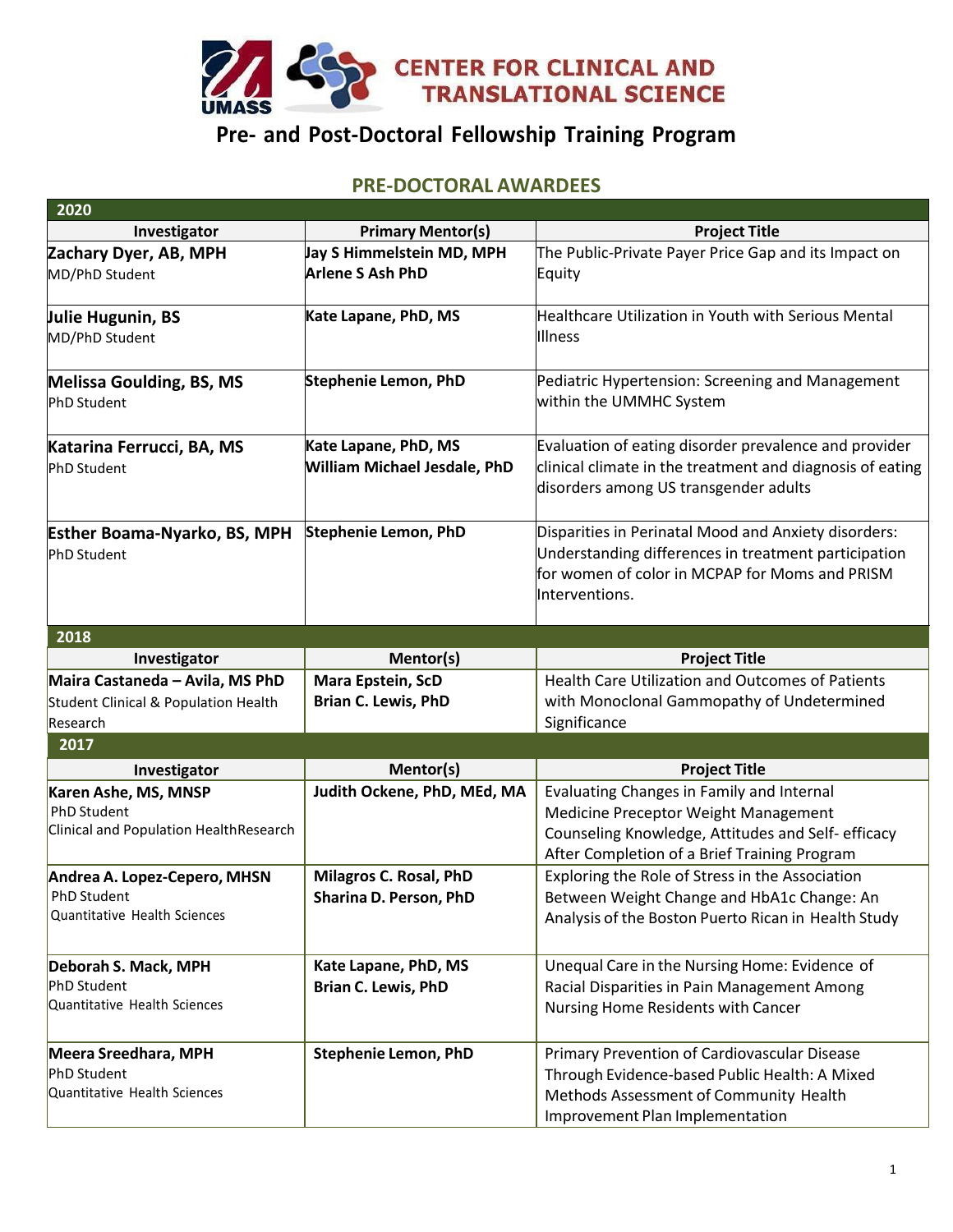

## **Pre- and Post-Doctoral Fellowship Training Program**

## **PRE-DOCTORAL AWARDEES**

| 2020                                                                          |                                                             |                                                                                                                                                                                         |
|-------------------------------------------------------------------------------|-------------------------------------------------------------|-----------------------------------------------------------------------------------------------------------------------------------------------------------------------------------------|
| Investigator                                                                  | <b>Primary Mentor(s)</b>                                    | <b>Project Title</b>                                                                                                                                                                    |
| Zachary Dyer, AB, MPH                                                         | Jay S Himmelstein MD, MPH                                   | The Public-Private Payer Price Gap and its Impact on                                                                                                                                    |
| MD/PhD Student                                                                | <b>Arlene S Ash PhD</b>                                     | Equity                                                                                                                                                                                  |
| Julie Hugunin, BS<br>MD/PhD Student                                           | Kate Lapane, PhD, MS                                        | Healthcare Utilization in Youth with Serious Mental<br>Illness                                                                                                                          |
| Melissa Goulding, BS, MS<br><b>PhD Student</b>                                | <b>Stephenie Lemon, PhD</b>                                 | Pediatric Hypertension: Screening and Management<br>within the UMMHC System                                                                                                             |
| Katarina Ferrucci, BA, MS<br><b>PhD Student</b>                               | Kate Lapane, PhD, MS<br><b>William Michael Jesdale, PhD</b> | Evaluation of eating disorder prevalence and provider<br>clinical climate in the treatment and diagnosis of eating<br>disorders among US transgender adults                             |
| <b>Esther Boama-Nyarko, BS, MPH</b><br><b>PhD Student</b>                     | <b>Stephenie Lemon, PhD</b>                                 | Disparities in Perinatal Mood and Anxiety disorders:<br>Understanding differences in treatment participation<br>for women of color in MCPAP for Moms and PRISM<br>Interventions.        |
| 2018                                                                          |                                                             |                                                                                                                                                                                         |
| Investigator                                                                  | Mentor(s)                                                   | <b>Project Title</b>                                                                                                                                                                    |
| Maira Castaneda - Avila, MS PhD                                               | Mara Epstein, ScD                                           | <b>Health Care Utilization and Outcomes of Patients</b>                                                                                                                                 |
| Student Clinical & Population Health                                          | <b>Brian C. Lewis, PhD</b>                                  | with Monoclonal Gammopathy of Undetermined                                                                                                                                              |
| Research                                                                      |                                                             | Significance                                                                                                                                                                            |
| 2017                                                                          |                                                             |                                                                                                                                                                                         |
| Investigator                                                                  | Mentor(s)                                                   | <b>Project Title</b>                                                                                                                                                                    |
| Karen Ashe, MS, MNSP<br>PhD Student<br>Clinical and Population HealthResearch | Judith Ockene, PhD, MEd, MA                                 | Evaluating Changes in Family and Internal<br>Medicine Preceptor Weight Management<br>Counseling Knowledge, Attitudes and Self- efficacy<br>After Completion of a Brief Training Program |
| Andrea A. Lopez-Cepero, MHSN<br>PhD Student<br>Quantitative Health Sciences   | Milagros C. Rosal, PhD<br>Sharina D. Person, PhD            | Exploring the Role of Stress in the Association<br>Between Weight Change and HbA1c Change: An<br>Analysis of the Boston Puerto Rican in Health Study                                    |
| Deborah S. Mack, MPH<br>PhD Student<br>Quantitative Health Sciences           | Kate Lapane, PhD, MS<br><b>Brian C. Lewis, PhD</b>          | Unequal Care in the Nursing Home: Evidence of<br>Racial Disparities in Pain Management Among<br>Nursing Home Residents with Cancer                                                      |
| Meera Sreedhara, MPH<br>PhD Student<br>Quantitative Health Sciences           | <b>Stephenie Lemon, PhD</b>                                 | Primary Prevention of Cardiovascular Disease<br>Through Evidence-based Public Health: A Mixed<br>Methods Assessment of Community Health<br>Improvement Plan Implementation              |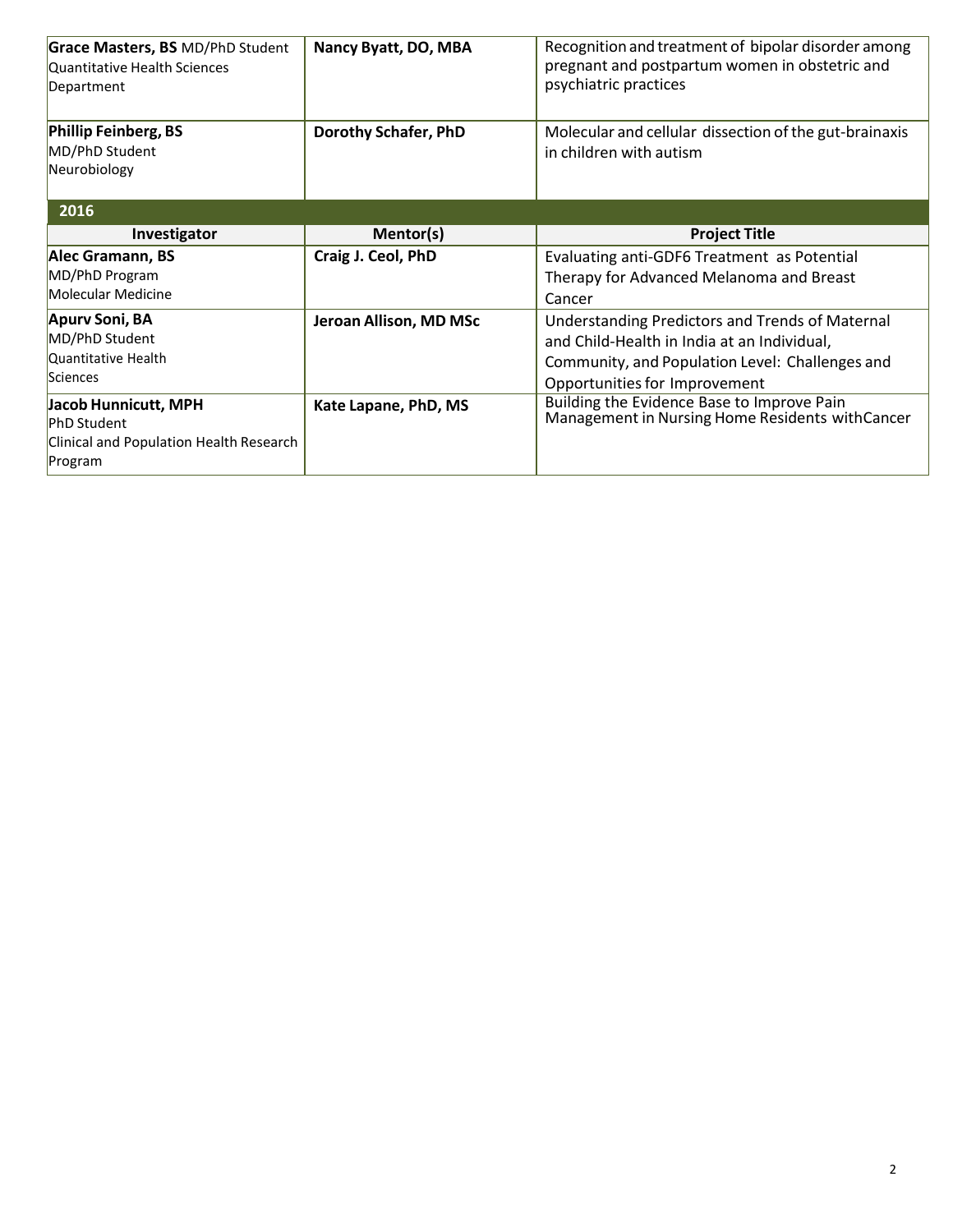| Grace Masters, BS MD/PhD Student<br>Quantitative Health Sciences<br>Department                   | Nancy Byatt, DO, MBA        | Recognition and treatment of bipolar disorder among<br>pregnant and postpartum women in obstetric and<br>psychiatric practices                                                     |
|--------------------------------------------------------------------------------------------------|-----------------------------|------------------------------------------------------------------------------------------------------------------------------------------------------------------------------------|
| Phillip Feinberg, BS<br>MD/PhD Student<br>Neurobiology                                           | <b>Dorothy Schafer, PhD</b> | Molecular and cellular dissection of the gut-brainaxis<br>in children with autism                                                                                                  |
| 2016                                                                                             |                             |                                                                                                                                                                                    |
| Investigator                                                                                     | Mentor(s)                   | <b>Project Title</b>                                                                                                                                                               |
| Alec Gramann, BS<br>MD/PhD Program<br>Molecular Medicine                                         | Craig J. Ceol, PhD          | Evaluating anti-GDF6 Treatment as Potential<br>Therapy for Advanced Melanoma and Breast<br>Cancer                                                                                  |
| Apurv Soni, BA<br>MD/PhD Student<br>Quantitative Health<br>Sciences                              | Jeroan Allison, MD MSc      | Understanding Predictors and Trends of Maternal<br>and Child-Health in India at an Individual,<br>Community, and Population Level: Challenges and<br>Opportunities for Improvement |
| Jacob Hunnicutt, MPH<br><b>PhD Student</b><br>Clinical and Population Health Research<br>Program | Kate Lapane, PhD, MS        | Building the Evidence Base to Improve Pain<br>Management in Nursing Home Residents with Cancer                                                                                     |